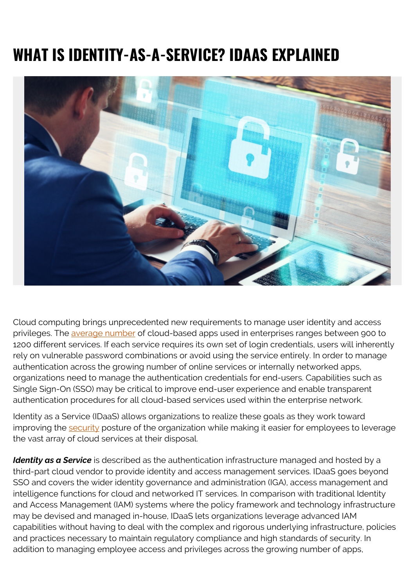## **WHAT IS IDENTITY-AS-A-SERVICE? IDAAS EXPLAINED**



Cloud computing brings unprecedented new requirements to manage user identity and access privileges. The [average number](https://chiefmartec.com/2017/06/average-enterprise-uses-91-marketing-cloud-services/) of cloud-based apps used in enterprises ranges between 900 to 1200 different services. If each service requires its own set of login credentials, users will inherently rely on vulnerable password combinations or avoid using the service entirely. In order to manage authentication across the growing number of online services or internally networked apps, organizations need to manage the authentication credentials for end-users. Capabilities such as Single Sign-On (SSO) may be critical to improve end-user experience and enable transparent authentication procedures for all cloud-based services used within the enterprise network.

Identity as a Service (IDaaS) allows organizations to realize these goals as they work toward improving the [security](https://blogs.bmc.com/blogs/security-vulnerability-vs-threat-vs-risk-whats-difference/) posture of the organization while making it easier for employees to leverage the vast array of cloud services at their disposal.

*Identity as a Service* is described as the authentication infrastructure managed and hosted by a third-part cloud vendor to provide identity and access management services. IDaaS goes beyond SSO and covers the wider identity governance and administration (IGA), access management and intelligence functions for cloud and networked IT services. In comparison with traditional Identity and Access Management (IAM) systems where the policy framework and technology infrastructure may be devised and managed in-house, IDaaS lets organizations leverage advanced IAM capabilities without having to deal with the complex and rigorous underlying infrastructure, policies and practices necessary to maintain regulatory compliance and high standards of security. In addition to managing employee access and privileges across the growing number of apps,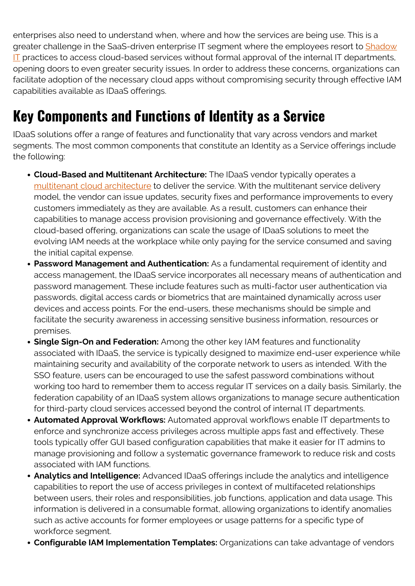enterprises also need to understand when, where and how the services are being use. This is a greater challenge in the SaaS-driven enterprise IT segment where the employees resort to [Shadow](https://blogs.bmc.com/blogs/what-is-shadow-it-shadow-it-explained/) [IT](https://blogs.bmc.com/blogs/what-is-shadow-it-shadow-it-explained/) practices to access cloud-based services without formal approval of the internal IT departments, opening doors to even greater security issues. In order to address these concerns, organizations can facilitate adoption of the necessary cloud apps without compromising security through effective IAM capabilities available as IDaaS offerings.

## **Key Components and Functions of Identity as a Service**

IDaaS solutions offer a range of features and functionality that vary across vendors and market segments. The most common components that constitute an Identity as a Service offerings include the following:

- **Cloud-Based and Multitenant Architecture:** The IDaaS vendor typically operates a [multitenant cloud architecture](https://www.bmc.com/blogs/single-tenant-vs-multi-tenant/) to deliver the service. With the multitenant service delivery model, the vendor can issue updates, security fixes and performance improvements to every customers immediately as they are available. As a result, customers can enhance their capabilities to manage access provision provisioning and governance effectively. With the cloud-based offering, organizations can scale the usage of IDaaS solutions to meet the evolving IAM needs at the workplace while only paying for the service consumed and saving the initial capital expense.
- **Password Management and Authentication:** As a fundamental requirement of identity and access management, the IDaaS service incorporates all necessary means of authentication and password management. These include features such as multi-factor user authentication via passwords, digital access cards or biometrics that are maintained dynamically across user devices and access points. For the end-users, these mechanisms should be simple and facilitate the security awareness in accessing sensitive business information, resources or premises.
- **Single Sign-On and Federation:** Among the other key IAM features and functionality associated with IDaaS, the service is typically designed to maximize end-user experience while maintaining security and availability of the corporate network to users as intended. With the SSO feature, users can be encouraged to use the safest password combinations without working too hard to remember them to access regular IT services on a daily basis. Similarly, the federation capability of an IDaaS system allows organizations to manage secure authentication for third-party cloud services accessed beyond the control of internal IT departments.
- **Automated Approval Workflows:** Automated approval workflows enable IT departments to enforce and synchronize access privileges across multiple apps fast and effectively. These tools typically offer GUI based configuration capabilities that make it easier for IT admins to manage provisioning and follow a systematic governance framework to reduce risk and costs associated with IAM functions.
- **Analytics and Intelligence:** Advanced IDaaS offerings include the analytics and intelligence capabilities to report the use of access privileges in context of multifaceted relationships between users, their roles and responsibilities, job functions, application and data usage. This information is delivered in a consumable format, allowing organizations to identify anomalies such as active accounts for former employees or usage patterns for a specific type of workforce segment.
- **Configurable IAM Implementation Templates:** Organizations can take advantage of vendors